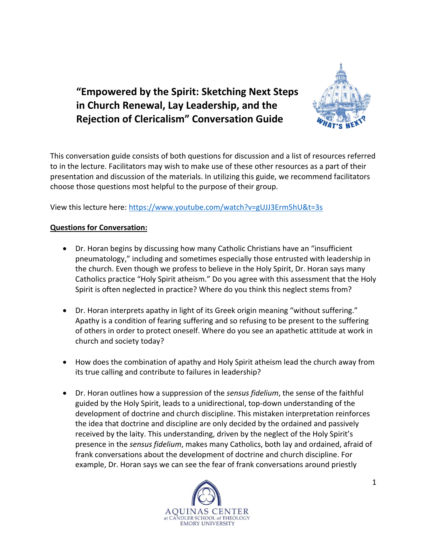



This conversation guide consists of both questions for discussion and a list of resources referred to in the lecture. Facilitators may wish to make use of these other resources as a part of their presentation and discussion of the materials. In utilizing this guide, we recommend facilitators choose those questions most helpful to the purpose of their group.

View this lecture here: <https://www.youtube.com/watch?v=gUJJ3Erm5hU&t=3s>

## **Questions for Conversation:**

- Dr. Horan begins by discussing how many Catholic Christians have an "insufficient pneumatology," including and sometimes especially those entrusted with leadership in the church. Even though we profess to believe in the Holy Spirit, Dr. Horan says many Catholics practice "Holy Spirit atheism." Do you agree with this assessment that the Holy Spirit is often neglected in practice? Where do you think this neglect stems from?
- Dr. Horan interprets apathy in light of its Greek origin meaning "without suffering." Apathy is a condition of fearing suffering and so refusing to be present to the suffering of others in order to protect oneself. Where do you see an apathetic attitude at work in church and society today?
- How does the combination of apathy and Holy Spirit atheism lead the church away from its true calling and contribute to failures in leadership?
- Dr. Horan outlines how a suppression of the *sensus fidelium*, the sense of the faithful guided by the Holy Spirit, leads to a unidirectional, top-down understanding of the development of doctrine and church discipline. This mistaken interpretation reinforces the idea that doctrine and discipline are only decided by the ordained and passively received by the laity. This understanding, driven by the neglect of the Holy Spirit's presence in the *sensus fidelium*, makes many Catholics, both lay and ordained, afraid of frank conversations about the development of doctrine and church discipline. For example, Dr. Horan says we can see the fear of frank conversations around priestly

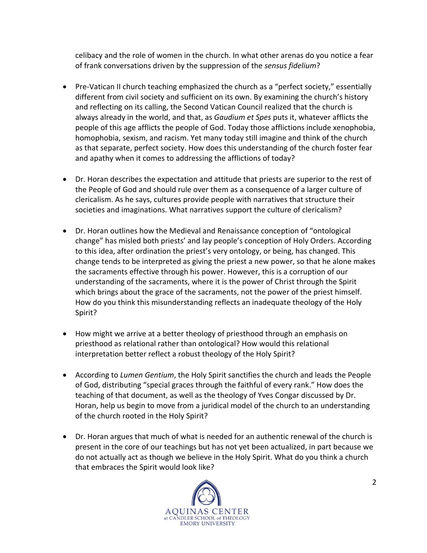celibacy and the role of women in the church. In what other arenas do you notice a fear of frank conversations driven by the suppression of the *sensus fidelium*?

- Pre-Vatican II church teaching emphasized the church as a "perfect society," essentially different from civil society and sufficient on its own. By examining the church's history and reflecting on its calling, the Second Vatican Council realized that the church is always already in the world, and that, as *Gaudium et Spes* puts it, whatever afflicts the people of this age afflicts the people of God. Today those afflictions include xenophobia, homophobia, sexism, and racism. Yet many today still imagine and think of the church as that separate, perfect society. How does this understanding of the church foster fear and apathy when it comes to addressing the afflictions of today?
- Dr. Horan describes the expectation and attitude that priests are superior to the rest of the People of God and should rule over them as a consequence of a larger culture of clericalism. As he says, cultures provide people with narratives that structure their societies and imaginations. What narratives support the culture of clericalism?
- Dr. Horan outlines how the Medieval and Renaissance conception of "ontological change" has misled both priests' and lay people's conception of Holy Orders. According to this idea, after ordination the priest's very ontology, or being, has changed. This change tends to be interpreted as giving the priest a new power, so that he alone makes the sacraments effective through his power. However, this is a corruption of our understanding of the sacraments, where it is the power of Christ through the Spirit which brings about the grace of the sacraments, not the power of the priest himself. How do you think this misunderstanding reflects an inadequate theology of the Holy Spirit?
- How might we arrive at a better theology of priesthood through an emphasis on priesthood as relational rather than ontological? How would this relational interpretation better reflect a robust theology of the Holy Spirit?
- According to *Lumen Gentium*, the Holy Spirit sanctifies the church and leads the People of God, distributing "special graces through the faithful of every rank." How does the teaching of that document, as well as the theology of Yves Congar discussed by Dr. Horan, help us begin to move from a juridical model of the church to an understanding of the church rooted in the Holy Spirit?
- Dr. Horan argues that much of what is needed for an authentic renewal of the church is present in the core of our teachings but has not yet been actualized, in part because we do not actually act as though we believe in the Holy Spirit. What do you think a church that embraces the Spirit would look like?

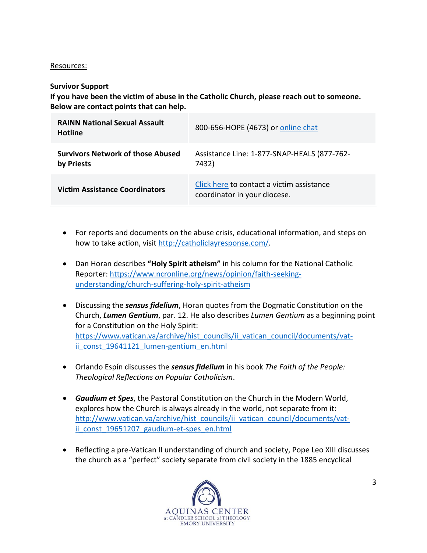## Resources:

## **Survivor Support**

**If you have been the victim of abuse in the Catholic Church, please reach out to someone. Below are contact points that can help.**

| <b>RAINN National Sexual Assault</b><br><b>Hotline</b> | 800-656-HOPE (4673) or online chat                                        |
|--------------------------------------------------------|---------------------------------------------------------------------------|
| <b>Survivors Network of those Abused</b><br>by Priests | Assistance Line: 1-877-SNAP-HEALS (877-762-<br>7432)                      |
| <b>Victim Assistance Coordinators</b>                  | Click here to contact a victim assistance<br>coordinator in your diocese. |

- For reports and documents on the abuse crisis, educational information, and steps on how to take action, visit [http://catholiclayresponse.com/.](http://catholiclayresponse.com/)
- Dan Horan describes **"Holy Spirit atheism"** in his column for the National Catholic Reporter: [https://www.ncronline.org/news/opinion/faith-seeking](https://www.ncronline.org/news/opinion/faith-seeking-understanding/church-suffering-holy-spirit-atheism)[understanding/church-suffering-holy-spirit-atheism](https://www.ncronline.org/news/opinion/faith-seeking-understanding/church-suffering-holy-spirit-atheism)
- Discussing the *sensus fidelium*, Horan quotes from the Dogmatic Constitution on the Church, *Lumen Gentium*, par. 12. He also describes *Lumen Gentium* as a beginning point for a Constitution on the Holy Spirit: [https://www.vatican.va/archive/hist\\_councils/ii\\_vatican\\_council/documents/vat](https://www.vatican.va/archive/hist_councils/ii_vatican_council/documents/vat-ii_const_19641121_lumen-gentium_en.html)ii const 19641121 lumen-gentium en.html
- Orlando Espín discusses the *sensus fidelium* in his book *The Faith of the People: Theological Reflections on Popular Catholicism*.
- *Gaudium et Spes*, the Pastoral Constitution on the Church in the Modern World, explores how the Church is always already in the world, not separate from it: [http://www.vatican.va/archive/hist\\_councils/ii\\_vatican\\_council/documents/vat](http://www.vatican.va/archive/hist_councils/ii_vatican_council/documents/vat-ii_const_19651207_gaudium-et-spes_en.html)ii const 19651207 gaudium-et-spes en.html
- Reflecting a pre-Vatican II understanding of church and society, Pope Leo XIII discusses the church as a "perfect" society separate from civil society in the 1885 encyclical